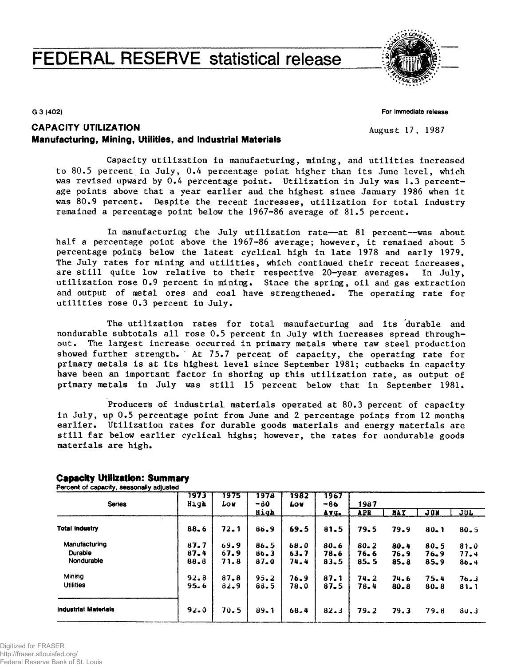# **FEDERAL RESERVE statistical release**



**G.3 (402)**

**For Immediate release**

August 17, 1987

# CAPACITY UTILIZATION Manufacturing, Mining, Utilities, and Industrial **Materials**

Capacity utilization in manufacturing, mining, and utilities increased to 80.5 percent in July, 0.4 percentage point higher than its June level, which was revised upward by 0.4 percentage point. Utilization in July was 1.3 percentage points above that a year earlier and the highest since January 1986 when it was 80.9 percent. Despite the recent increases, utilization for total industry remained a percentage point below the 1967-86 average of 81.5 percent.

In manufacturing the July utilization rate—at 81 percent—was about half a percentage point above the 1967-86 average; however, it remained about 5 percentage points below the latest cyclical high in late 1978 and early 1979. The July rates for mining and utilities, which continued their recent increases, are still quite low relative to their respective  $20$ -year averages. In July, utilization rose 0.9 percent in mining. Since the spring, oil and gas extraction and output of metal ores and coal have strengthened. The operating rate for utilities rose 0.3 percent in July.

The utilization rates for total manufacturing and its durable and nondurable subtotals all rose 0.5 percent in July with increases spread throughout. The largest increase occurred in primary metals where raw steel production showed further strength. At 75.7 percent of capacity, the operating rate for primary metals is at its highest level since September 1981; cutbacks in capacity have been an important factor in shoring up this utilization rate, as output of primary metals in July was still 15 percent below that in September 1981.

Producers of industrial materials operated at 80.3 percent of capacity in July, up 0.5 percentage point from June and 2 percentage points from 12 months earlier. Utilization rates for durable goods materials and energy materials are still far below earlier cyclical highs; however, the rates for nondurable goods materials are high.

| <b>Series</b>         | 1973<br>High | 1975<br>Lou | 1978<br>$-80$ | 1982<br>Lov | 1967<br>$-86$ | 1987       |            |          |            |
|-----------------------|--------------|-------------|---------------|-------------|---------------|------------|------------|----------|------------|
|                       |              |             | High          |             | Avg.          | <b>APR</b> | <b>BAY</b> | JUN      | <u>JUL</u> |
| <b>Total industry</b> | $88 - 6$     | $72 - 1$    | 86.9          | 69.5        | 81.5          | 79.5       | 79.9       | $80 - 1$ | 80.5       |
| Manufacturing         | 87.7         | 69.9        | 86.5          | 68.0        | $80 - 6$      | $80 - 2$   | $80 - 4$   | $80 - 5$ | 81.0       |
| Durable               | $87 - 4$     | 67.9        | $86 - 3$      | 63.7        | 78.6          | 76.6       | 76.9       | 76.9     | 77.4       |
| Nondurable            | 88.8         | 71.8        | $87 - 0$      | 74.4        | $83 - 5$      | 85.5       | $85 - 8$   | 85.9     | $86 - 4$   |
| Mining                | $92 - 8$     | 87.8        | 95.2          | 76.9        | 87.1          | 74.2       | 74.6       | 75.4     | 76.3       |
| <b>Utilities</b>      | 95.6         | 82.9        | 88.5          | 78.0        | $87 - 5$      | 78.4       | $80 - 8$   | $80 - 8$ | $81 - 1$   |
| Industrial Materials  | 92.0         | 70.5        | $89 - 1$      | $68 - 4$    | 82.3          | 79.2       | 79.3       | 79.8     | 80.3       |

## **Capacity Utilization: Summary**

**Percent of capacity, seasonally adjusted**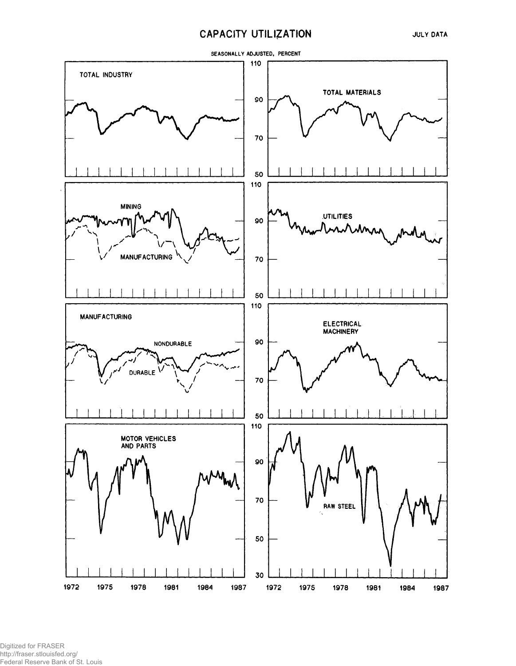# **CAPACITY UTILIZATION**



Digitized for FRASER http://fraser.stlouisfed.org/ Federal Reserve Bank of St. Louis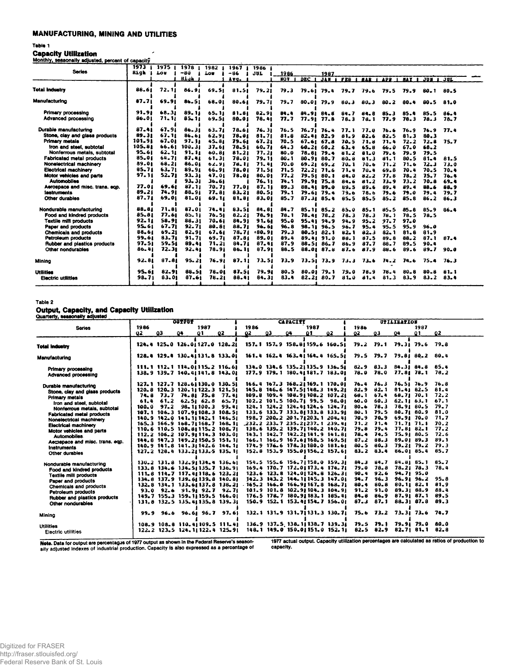## **MANUFACTURING, MINING AND UTILITIES**

 $\overline{\phantom{a}}$ 

## Table 1

**Capacity Utilization** 

|  |  | Monthly, seasonally adjusted, percent of capacity |
|--|--|---------------------------------------------------|
|  |  |                                                   |
|  |  |                                                   |
|  |  |                                                   |
|  |  |                                                   |

| monthly, seasonally adjusted, percent of capacity |           |           |           |            |           |          |            |                  |                |           |          |            |            |            |          |
|---------------------------------------------------|-----------|-----------|-----------|------------|-----------|----------|------------|------------------|----------------|-----------|----------|------------|------------|------------|----------|
|                                                   | 1973      | 1975      | 1978      | 1982       | 1967      | 1986     |            |                  |                |           |          |            |            |            |          |
| <b>Series</b>                                     | Eigh      | Lou       | -80       | <b>Ton</b> | $-86$     | JUL.     | 1986       |                  | 1987           |           |          |            |            |            |          |
|                                                   |           |           | Hivh      |            | Avg.      |          | <b>NOV</b> | DEC <sub>1</sub> | <b>JAN</b> I   | FEB I HAR |          | <b>APR</b> | <b>HAY</b> | <b>JUN</b> | JUL      |
|                                                   |           |           |           |            |           |          |            |                  |                |           |          |            |            |            |          |
| Total Industry                                    | 88.61     | 72.11     | 86.91     | 69.51      | 81.51     | 79.21    | 79.3       |                  | 79.6179.4      | 79.7      | 79.6     | 79.5       | 79.9       | $80 - 1$   | 80.5     |
|                                                   |           |           |           |            |           |          |            |                  |                |           |          |            |            |            |          |
| <b>Manufacturing</b>                              | 87.71     | 69.91     | 86.51     | 68.01      | 80.61     | 79.71    | 79.7       | 80.01            | 79.9           | 80.3      | $80 - 3$ | $80 - 2$   | 80.4       | 80.5       | 81.0     |
|                                                   |           |           |           |            |           |          |            |                  |                |           |          |            |            |            |          |
| Primary processing                                | 91.91     | 68.31     | 89.11     | 65.11      | 81.81     | 82.91    | 84.4       |                  | 84.91 84.8     | 84.7      | 84.8     | $85 - 3$   | 85.4       | 85.5       | 86.4     |
| Advanced processing                               | 86.01     | 71. 11    | $85 - 11$ | 09.51      | 80.01     | 78.41    | 77.7       | 77.91            | 77.8           | 78.3      | 78.1     | 77.9       | 78.3       | 78.3       | $78 - 7$ |
|                                                   |           |           |           |            |           |          |            |                  |                |           |          |            |            |            |          |
| Durable manufacturing                             | $87 - 41$ | 67.91     | 86.31     | 63.71      | 78.61     | 76.31    | 76.5       |                  | $76.71$ $76.4$ | 77.1      | 77.0     | 76.6       | $76 - 9$   | 76.9       | 77.4     |
| Stone, clay and glass products                    | 89.31     | 67, 11    | 86.61     | 62.91      | 78,01     | 81.71    | 81.8       |                  | 82.41 82.9     | 81.9      | 82.6     | 82.5       | 81.3       | 80.3       |          |
| Primary metals                                    | 101.91    | 67.01     | 97.11     | 45.81      | 79.61     | 67.21    | $70 - 5$   |                  | 67.6167.8      | 70.5      | 71.8     | 71.4       | 72.2       | 72.8       | 75.7     |
| Iron and steel, subtotal                          | 105.81    | 66.61     | 100.31    | 37.61      | 78.51     | 60.71    | 64.3       | 60.21            | $60 - 2$       | 63.4      | 65.8     | 66.0       | 67.0       | 68.2       |          |
| Nonferrous metals, subtotal                       | 95.61     | 62.11     | 91.11     | 60.81      | $81 - 21$ | 77.21    | 80.0       |                  | 78.81 79.4     | 81.2      | $81 - 0$ | 79.6       | 79.9       | $79 - 5$   |          |
| Fabricated metal products                         | 85.01     | 64.71     | 87.41     | 61.31      | 78.01     | 79.11    | $80 - 1$   |                  | 80.9180.7      | $80 - 8$  | 01.3     | 81.1       | $80 - 5$   | $81 - 4$   | 81.5     |
| Nonelectrical machinery                           | 89.01     | 68.21     | 86.01     | 62.91      | 78.11     | 71.41    | $70 - 0$   |                  | 69.2169.2      | 70.1      | 70.6     | 71.2       | 71.6       | $72 - 3$   | 73.0     |
| <b>Electrical machinery</b>                       | $85 - 71$ | $63 - 71$ | 89.91     | 66.91      | 78.01     | 71.51    | 71.5       |                  | $72.21$ $71.6$ | 71.4      | $70 - 4$ | 69.8       | 70.4       | 70.5       | $70 - 4$ |
| Motor vehicles and parts                          | 97.11     | 52.71     | 93.31     | 47.01      | 78.01     | 80.01    | 77.2       |                  | 79.51 80.1     | $84 - 0$  | $82 - 2$ | 77.8       | 78.2       | 75.7       | 76.4     |
| <b>Automobiles</b>                                |           |           | 93.31     | 36.61      |           | 76. 11   | 74.1       |                  | 79.91 75.8     | 84.6      | 81.2     | 73.9       | 73.2       | $70 - 8$   | $69 - 4$ |
| Aerospace and misc, trans, egp.                   | 77.01     | 69.61     | 87.11     | 70. 71     | 77.01     | 87.11    | 89.3       |                  | 88.41 89.0     | 89.5      | 89.6     | 89.4       | 89.4       | $88 - 6$   | 88.9     |
| lestruments                                       | 89.21     | 74.91     | 88.91     | 77.81      | 83.21     | 80.51    | 79. 1      |                  | 79-61 79-4     | 79.6      | 78.6     | 79.6       | 79.0       | 79.4       | 79.7     |
| Other durables                                    | 87.71     | 69.01     | 81.01     | 69.11      | 81.81     | 83.01    | 85.7       | 87.31            | 85.4           | $85 - 5$  | 85.5     | $85 - 2$   | 85.8       | 86.2       | 86.3     |
|                                                   |           |           |           |            |           |          |            |                  |                |           |          |            |            |            |          |
| Nondurable manufacturing                          | 88.81     | 71.81     | 87.01     | 74.41      | 83.51     | 84.81    | 84.7       |                  | 85.11 85.2     | 85.0      | $85 - 1$ | 85.5       | $85 - 8$   | $85 - 9$   | 86.4     |
| Food and kindred products                         | 85.81     | 77.61     | 85.11     | 76.51      | 82.21     | 78.91    | 78.1       |                  | 78.41 78.2     | $78 - 3$  | 78.3     | 78.1       | 78.5       | $78 - 5$   |          |
| <b>Textile mill products</b>                      | 92.11     | 58.91     | 88.31     | 70.61      | 84.91     | 91.61    | $95 - 0$   |                  | 95.41 94.9     | $94 - 9$  | $95 - 2$ | 97.7       | $97 - 0$   |            |          |
| Paper and products                                | 95.61     | 67,71     | 92.71     | 80.81      | 88.71     | 96. 61   | 96.8       |                  | 98.11 96.5     | 96.7      | 95.4     | $95 - 5$   | 95.9       | $96 - 0$   |          |
| <b>Chemicals and products</b>                     | 88.61     | 69.21     | 82.91     | 67.61      | 78.71     | $+80.91$ | 79.3       |                  | 80.51 82.1     | 82.1      | 82.3     | $82 - 1$   | 81.8       | 81.9       |          |
| Petroleum products                                | 99.61     | 83.71     | 91.71     | 69.71      | 87.81     | 89.01    | 89.4       |                  | 89.41 91.0     | 88.1      | 87.5     | $89 - 8$   | 88.2       | 87.1       | 87.4     |
| Rubber and plastics products                      | 97.51     | 59.51     | 89.41     | 71.21      | 84.71     | 87.41    | 87.9       |                  | $88.51$ $86.7$ | 86.9      | 87.7     | 88.7       | 89.5       | 90.4       |          |
| Other nondurables                                 | $86 - 41$ | 72.31     | 92.41     | 78.91      | 86.11     | 87.91    | 88.5       |                  | 88.01 87.8     | 87.6      | 87.9     | $88 - 6$   | 89.6       | $89 - 7$   | 90.0     |
|                                                   | 92.81     | 87.81     | 95.21     | 76.91      | 87.11     | 73.51    | 73.9       |                  | $73.51$ $73.9$ |           | 73.6     | 74.2       | 74.6       | 75.4       | 76.3     |
| Mining                                            |           |           |           |            |           |          |            |                  |                | 7.1.3     |          |            |            |            |          |
| <b>Utilities</b>                                  | 95.61     | 82.91     | 88.51     | 78.01      | 87.51     | 79.94    | $80 - 5$   |                  | 80.01 79.1     | 79.0      | 78.9     | 78.4       | $80 - 8$   | $80 - 8$   | 81.1     |
| <b>Electric utilities</b>                         | 98.71     | 83.01     | 87.6i     | 78.21      | 88.41     | 84.31    | 83.4       |                  | 82.2180.7      | 81.0      | 81.4     | 81.3       | $83 - 9$   | 83.2       | 83.4     |
|                                                   |           |           |           |            |           |          |            |                  |                |           |          |            |            |            |          |
|                                                   |           |           |           |            |           |          |            |                  |                |           |          |            |            |            |          |

Table 2

## Output, Capacity, and Capacity Utilization

| Quarterly, seasonally adjusted             |      |                                                                  | OUTPUT |            |           |                |    | <b>CAPACITI</b> |      |                                                                  |              |               |                          |            |              |
|--------------------------------------------|------|------------------------------------------------------------------|--------|------------|-----------|----------------|----|-----------------|------|------------------------------------------------------------------|--------------|---------------|--------------------------|------------|--------------|
| Series                                     | 1986 |                                                                  |        | 1987       |           | 1986           |    |                 | 1987 |                                                                  | 1986         |               | UTILIZATION              | 1987       |              |
|                                            | 02   | Q3                                                               | Q4     | -01        | -02       | Q <sub>2</sub> | Ω3 | 04              | 01   | 92                                                               | 92           | 03            | 04                       | 01         | Q2.          |
|                                            |      |                                                                  |        |            |           |                |    |                 |      |                                                                  |              |               |                          |            |              |
| <b>Total Industry</b>                      |      | 124.4 125.0 126.01127.0 128.21                                   |        |            |           |                |    |                 |      | 157.1 157.9 158.81359.6 160.51                                   | 79.2         | 79.1          | 79.31 79.6               |            | 79.8         |
|                                            |      |                                                                  |        |            |           |                |    |                 |      |                                                                  |              |               |                          |            |              |
| Manufacturing                              |      | 128.4 129.4 130.41131.8 133.01                                   |        |            |           |                |    |                 |      | 161.4 162.4 163.41164.4 165.51                                   | 79.5         | 79. 7         | 79.81 80.2               |            | 80.4         |
|                                            |      |                                                                  |        |            |           |                |    |                 |      |                                                                  |              |               |                          |            | 85.4         |
| Primary processing                         |      | 111.1 112.1 114.0(115.2 116.6)                                   |        |            |           |                |    |                 |      | 134.0 134.6 135.21135.9 136.51<br>177.9 179.1 180.44181.7 183.04 | 82.9<br>78.0 | 83.3<br>78.0  | 77.8178.1                | 84.31 84.8 | 78.2         |
| Advanced processing                        |      | 138.9 139.7 140.41141.8 143.01                                   |        |            |           |                |    |                 |      |                                                                  |              |               |                          |            |              |
|                                            |      | 127.1 127.7 128.61130.0 130.51                                   |        |            |           |                |    |                 |      | 166.4 167.3 168.21169.1 170.01                                   | $76 - 4$     | 76.3          | 76.5176.9                |            | 76.8         |
| Durable manufacturing                      |      | 120.8 120.3 120.11 122.3 121.51                                  |        |            |           |                |    |                 |      | 145.8 146.6 147.5 148.3 149.2                                    | $82 - 9$     | 82.1          | 81.41 82.5               |            | 81.4         |
| Stone, clay and glass products             |      | 74.8 73.7                                                        |        | 74.81 75.8 | 77.41     |                |    |                 |      | 109.8 109.4 108.91 108.2 107.21                                  | 60.1         | $67 - 4$      | 68.71 70.1               |            | 72.2         |
| Primary metals<br>fron and steel, subtotal |      | $61.4$ $61.2$ $62.51$ $62.8$                                     |        |            | $65 - 71$ |                |    |                 |      | 102.2 101.5 100.71 99.5 98.01                                    | $60 - 0$     | $60 - 3$      | 62.1163.1                |            | 67.1         |
| Nonferrous metals, subtotal                |      | $100.0$ $97.2$                                                   |        | 98.11100.3 | 99.41     |                |    |                 |      | 124.1 124.2 124.41124.6 124.71                                   | $80 - 6$     | 78.3          | 78.91 80.5               |            | 79.7         |
| Fabricated metal products                  |      | 107.1 106.3 107.91108.3 108.51                                   |        |            |           |                |    |                 |      | 133.6 133.7 133.81133.8 133.91                                   | $80 - 1$     | <b>79.5</b>   | 80.7160.9                |            | 81.0         |
| Nonelectrical machinery                    |      | 140.9 142.0 141.11142.1 146.51                                   |        |            |           |                |    |                 |      | 198.7 200.2 201.71203.1 204.41                                   | 70.9         | 70.9          | 69.91 70.0               |            | 71.7         |
| <b>Electrical machinery</b>                |      | 165.3 166.9 168.7 168.7 168.1                                    |        |            |           |                |    |                 |      | $-232 - 233 - 7235 - 21237 - 1239 - 41$                          | 71.2         | 71.4          | 71.7171.1                |            | 70.2         |
| Motor vehicles and parts                   |      | 110.6 110.5 108.81115.2 108.71                                   |        |            |           |                |    |                 |      | 138.6 139.2 139.71140.2 140.71                                   | 79.8         | 79.4          | $77.81$ $82.1$           |            | 77.2         |
| Automobiles                                |      | 112.2 106.2 107.91114.3 103.01                                   |        |            |           |                |    |                 |      | 143.1 142.7 142.21141.9 141.81                                   | $78 - 4$     | 74.5          | 75.9180.5                |            | 72.6         |
| Aemspace and misc. trans. eqp.             |      | 144.8 147.3 149.21150.5 151.11                                   |        |            |           |                |    |                 |      | 166.1 166.9 167.61168.5 169.51                                   | 87.2         | 88.3          | 89.01 89.3               |            | 89.1         |
| <i><b>Instruments</b></i>                  |      | 140.9 141.8 141.3 142.6 144.1                                    |        |            |           |                |    |                 |      | 174.9 176.6 178.3 180.0 181.6                                    | $80 - 5$     | $80 - 3$      | $79.21$ $79.2$           |            | 79.3         |
| Other durables                             |      | 127.2 128.4 133.21133.5 135.11                                   |        |            |           |                |    |                 |      | 152.8 153.9 155.01156.2 157.61                                   | $83 - 2$     | 83.4          | 86.01 85.4               |            | 85.7         |
|                                            |      |                                                                  |        |            |           |                |    |                 |      |                                                                  |              |               |                          |            |              |
| Nondurable manufacturing                   |      | 130.2 131.8 132.91134.4 136.61                                   |        |            |           |                |    |                 |      | 154.5 155.6 156.7 158.0 159.3                                    | 84.3         | 84.7          | 84.81 85.1               |            | $85 - 7$     |
| Food and kindred products                  |      | 133.8 134.6 134.51135.7 136.91                                   |        |            |           |                |    |                 |      | 169.4 170.7 172.01173.4 174.71                                   | 79.0         | 78.8          | $78.21$ $78.3$           |            | 78.4         |
| <b>Textile mill products</b>               |      | $111.6$ $114.7$ $117.4118.6$ $123.21$                            |        |            |           |                |    |                 |      | 123.6 123.8 124.01124.8 126.31                                   | $90 - 4$     | 92.6          | 94.71 95.0               |            |              |
| Paper and products                         |      | 134.8 137.9 139.61139.8 140.81                                   |        |            |           |                |    |                 |      | 142.3 143.2 144.11145.3 147.01                                   | 94.7         | 96.3          | 96.91 96.2               |            | $95 - 8$     |
| <b>Chemicals and products</b>              |      | 132.8 134.1 133.61137.8 138.21                                   |        |            |           |                |    |                 |      | $-165 - 2$ 166.0 166.91167.8 168.71                              | 80.4         | 80.8          | $80.11$ $82.1$           |            | 81.9<br>88.4 |
| Petroleum products                         |      | 93.0 92.6 91.91 92.7 92.71                                       |        |            |           |                |    |                 |      | 101.9 101.8 102.91104.3 104.91<br>176.5 178.7 180.91183.1 185.41 | 91.2<br>84.8 | 91.0<br>86.9  | 89.31 88.9<br>87.91 87.1 |            | 89.5         |
| Rubber and plastics products               |      | 149.7 155.3 159.11159.5 166.01<br>131.8 132.5 135.41135.8 139.31 |        |            |           |                |    |                 |      | 150.9 152.1 153.41154.7 156.01                                   | 87.3         | $87 - 1$      | $88 - 31 87 - 8$         |            | 89.3         |
| Other nondurables                          |      |                                                                  |        |            |           |                |    |                 |      |                                                                  |              |               |                          |            |              |
|                                            |      | 99.9 96.6 96.61 96.7 97.61                                       |        |            |           |                |    |                 |      | 132.1 131.9 131.71131.3 130.71                                   | 75.6         |               | $73.2$ $73.31$           | 73.6       | 74.7         |
| Mining                                     |      |                                                                  |        |            |           |                |    |                 |      |                                                                  |              |               |                          |            |              |
|                                            |      | 108.9 108.8 110.41109.5 111.41                                   |        |            |           |                |    |                 |      | 136.9 137.5 138.1 138.7 139.31                                   |              | 79.5 79.1     |                          | 79.91 79.0 | 80.0         |
| <b>Utilities</b>                           |      | 122.2 123.5 124.11122.4 125.91                                   |        |            |           |                |    |                 |      | 148.1 149.0 150.01151.0 152.11                                   |              | $82.5$ $82.9$ | 82.7161.1                |            | $82 - 8$     |
| Electric utilities                         |      |                                                                  |        |            |           |                |    |                 |      |                                                                  |              |               |                          |            |              |
|                                            |      |                                                                  |        |            |           |                |    |                 |      |                                                                  |              |               |                          |            |              |

Note. Data for output are percentages of 1977 output as shown in the Federal Reserve's seasonally adjusted indexes of industrial production. Capacity is also expressed as a percentage of

1977 actual output. Capacity utilization percentages are calculated as ratios of production to capacity.